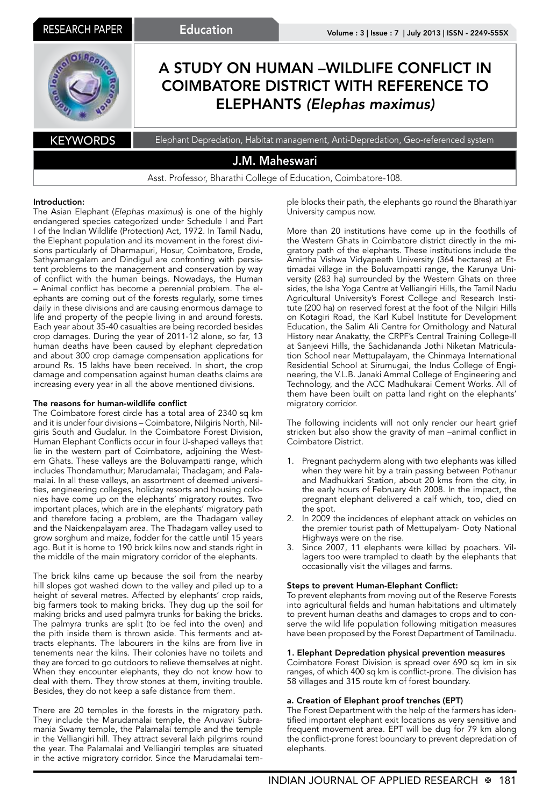

# Introduction:

The Asian Elephant (*Elephas maximus*) is one of the highly endangered species categorized under Schedule I and Part I of the Indian Wildlife (Protection) Act, 1972. In Tamil Nadu, the Elephant population and its movement in the forest divisions particularly of Dharmapuri, Hosur, Coimbatore, Erode, Sathyamangalam and Dindigul are confronting with persistent problems to the management and conservation by way of conflict with the human beings. Nowadays, the Human – Animal conflict has become a perennial problem. The elephants are coming out of the forests regularly, some times daily in these divisions and are causing enormous damage to life and property of the people living in and around forests. Each year about 35-40 casualties are being recorded besides crop damages. During the year of 2011-12 alone, so far, 13 human deaths have been caused by elephant depredation and about 300 crop damage compensation applications for around Rs. 15 lakhs have been received. In short, the crop damage and compensation against human deaths claims are increasing every year in all the above mentioned divisions.

# The reasons for human-wildlife conflict

The Coimbatore forest circle has a total area of 2340 sq km and it is under four divisions – Coimbatore, Nilgiris North, Nilgiris South and Gudalur. In the Coimbatore Forest Division, Human Elephant Conflicts occur in four U-shaped valleys that lie in the western part of Coimbatore, adjoining the Western Ghats. These valleys are the Boluvampatti range, which includes Thondamuthur; Marudamalai; Thadagam; and Palamalai. In all these valleys, an assortment of deemed universities, engineering colleges, holiday resorts and housing colonies have come up on the elephants' migratory routes. Two important places, which are in the elephants' migratory path and therefore facing a problem, are the Thadagam valley and the Naickenpalayam area. The Thadagam valley used to grow sorghum and maize, fodder for the cattle until 15 years ago. But it is home to 190 brick kilns now and stands right in the middle of the main migratory corridor of the elephants.

The brick kilns came up because the soil from the nearby hill slopes got washed down to the valley and piled up to a height of several metres. Affected by elephants' crop raids, big farmers took to making bricks. They dug up the soil for making bricks and used palmyra trunks for baking the bricks. The palmyra trunks are split (to be fed into the oven) and the pith inside them is thrown aside. This ferments and attracts elephants. The labourers in the kilns are from live in tenements near the kilns. Their colonies have no toilets and they are forced to go outdoors to relieve themselves at night. When they encounter elephants, they do not know how to deal with them. They throw stones at them, inviting trouble. Besides, they do not keep a safe distance from them.

There are 20 temples in the forests in the migratory path. They include the Marudamalai temple, the Anuvavi Subramania Swamy temple, the Palamalai temple and the temple in the Velliangiri hill. They attract several lakh pilgrims round the year. The Palamalai and Velliangiri temples are situated in the active migratory corridor. Since the Marudamalai temple blocks their path, the elephants go round the Bharathiyar University campus now.

More than 20 institutions have come up in the foothills of the Western Ghats in Coimbatore district directly in the migratory path of the elephants. These institutions include the Amirtha Vishwa Vidyapeeth University (364 hectares) at Ettimadai village in the Boluvampatti range, the Karunya University (283 ha) surrounded by the Western Ghats on three sides, the Isha Yoga Centre at Velliangiri Hills, the Tamil Nadu Agricultural University's Forest College and Research Institute (200 ha) on reserved forest at the foot of the Nilgiri Hills on Kotagiri Road, the Karl Kubel Institute for Development Education, the Salim Ali Centre for Ornithology and Natural History near Anakatty, the CRPF's Central Training College-II at Sanjeevi Hills, the Sachidananda Jothi Niketan Matriculation School near Mettupalayam, the Chinmaya International Residential School at Sirumugai, the Indus College of Engineering, the V.L.B. Janaki Ammal College of Engineering and Technology, and the ACC Madhukarai Cement Works. All of them have been built on patta land right on the elephants' migratory corridor.

The following incidents will not only render our heart grief stricken but also show the gravity of man –animal conflict in Coimbatore District.

- 1. Pregnant pachyderm along with two elephants was killed when they were hit by a train passing between Pothanur and Madhukkari Station, about 20 kms from the city, in the early hours of February 4th 2008. In the impact, the pregnant elephant delivered a calf which, too, died on  $the$  spot.
- 2. In 2009 the incidences of elephant attack on vehicles on the premier tourist path of Mettupalyam- Ooty National Highways were on the rise.
- 3. Since 2007, 11 elephants were killed by poachers. Villagers too were trampled to death by the elephants that occasionally visit the villages and farms.

#### Steps to prevent Human-Elephant Conflict:

To prevent elephants from moving out of the Reserve Forests into agricultural fields and human habitations and ultimately to prevent human deaths and damages to crops and to conserve the wild life population following mitigation measures have been proposed by the Forest Department of Tamilnadu.

#### 1. Elephant Depredation physical prevention measures

Coimbatore Forest Division is spread over 690 sq km in six ranges, of which 400 sq km is conflict-prone. The division has 58 villages and 315 route km of forest boundary.

# a. Creation of Elephant proof trenches (EPT)

The Forest Department with the help of the farmers has identified important elephant exit locations as very sensitive and frequent movement area. EPT will be dug for 79 km along the conflict-prone forest boundary to prevent depredation of elephants.